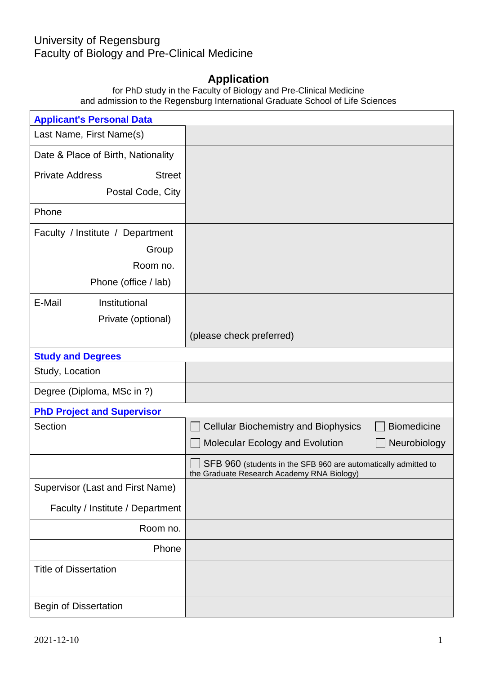## University of Regensburg

Faculty of Biology and Pre-Clinical Medicine

## **Application**

for PhD study in the Faculty of Biology and Pre-Clinical Medicine and admission to the Regensburg International Graduate School of Life Sciences

| <b>Applicant's Personal Data</b>        |                                                                                                              |
|-----------------------------------------|--------------------------------------------------------------------------------------------------------------|
| Last Name, First Name(s)                |                                                                                                              |
| Date & Place of Birth, Nationality      |                                                                                                              |
| <b>Private Address</b><br><b>Street</b> |                                                                                                              |
| Postal Code, City                       |                                                                                                              |
| Phone                                   |                                                                                                              |
| Faculty / Institute / Department        |                                                                                                              |
| Group                                   |                                                                                                              |
| Room no.                                |                                                                                                              |
| Phone (office / lab)                    |                                                                                                              |
| E-Mail<br>Institutional                 |                                                                                                              |
| Private (optional)                      |                                                                                                              |
|                                         | (please check preferred)                                                                                     |
| <b>Study and Degrees</b>                |                                                                                                              |
| Study, Location                         |                                                                                                              |
| Degree (Diploma, MSc in ?)              |                                                                                                              |
| <b>PhD Project and Supervisor</b>       |                                                                                                              |
| Section                                 | <b>Biomedicine</b><br><b>Cellular Biochemistry and Biophysics</b>                                            |
|                                         | Molecular Ecology and Evolution<br>Neurobiology                                                              |
|                                         | SFB 960 (students in the SFB 960 are automatically admitted to<br>the Graduate Research Academy RNA Biology) |
| Supervisor (Last and First Name)        |                                                                                                              |
| Faculty / Institute / Department        |                                                                                                              |
| Room no.                                |                                                                                                              |
| Phone                                   |                                                                                                              |
| <b>Title of Dissertation</b>            |                                                                                                              |
| <b>Begin of Dissertation</b>            |                                                                                                              |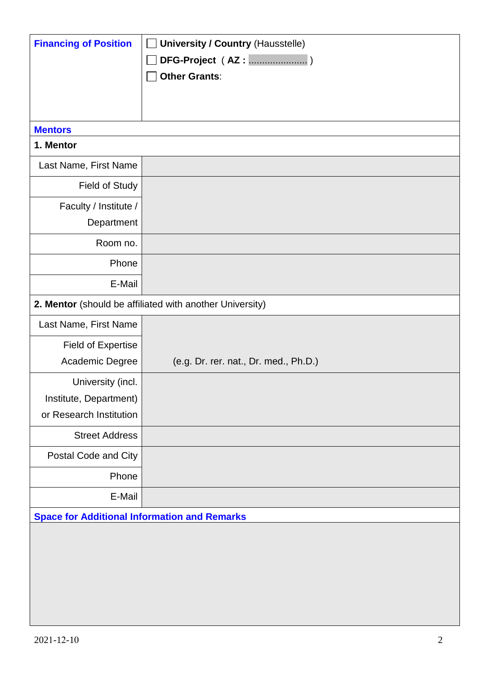| <b>Financing of Position</b>                             | <b>University / Country (Hausstelle)</b> |
|----------------------------------------------------------|------------------------------------------|
|                                                          |                                          |
|                                                          | <b>Other Grants:</b>                     |
|                                                          |                                          |
|                                                          |                                          |
| <b>Mentors</b>                                           |                                          |
| 1. Mentor                                                |                                          |
| Last Name, First Name                                    |                                          |
| <b>Field of Study</b>                                    |                                          |
| Faculty / Institute /                                    |                                          |
| Department                                               |                                          |
| Room no.                                                 |                                          |
| Phone                                                    |                                          |
| E-Mail                                                   |                                          |
| 2. Mentor (should be affiliated with another University) |                                          |
| Last Name, First Name                                    |                                          |
| <b>Field of Expertise</b>                                |                                          |
| Academic Degree                                          | (e.g. Dr. rer. nat., Dr. med., Ph.D.)    |
| University (incl.                                        |                                          |
| Institute, Department)                                   |                                          |
| or Research Institution                                  |                                          |
| <b>Street Address</b>                                    |                                          |
| Postal Code and City                                     |                                          |
| Phone                                                    |                                          |
| E-Mail                                                   |                                          |
| <b>Space for Additional Information and Remarks</b>      |                                          |
|                                                          |                                          |
|                                                          |                                          |
|                                                          |                                          |
|                                                          |                                          |